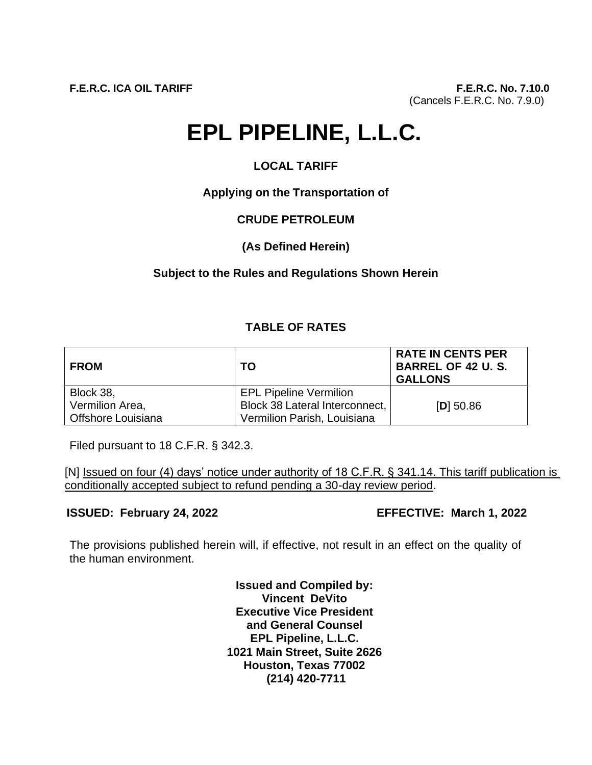# **EPL PIPELINE, L.L.C.**

# **LOCAL TARIFF**

# **Applying on the Transportation of**

# **CRUDE PETROLEUM**

# **(As Defined Herein)**

# **Subject to the Rules and Regulations Shown Herein**

## **TABLE OF RATES**

| <b>FROM</b>        | ΤO                             | <b>RATE IN CENTS PER</b><br><b>BARREL OF 42 U.S.</b><br><b>GALLONS</b> |
|--------------------|--------------------------------|------------------------------------------------------------------------|
| Block 38,          | <b>EPL Pipeline Vermilion</b>  |                                                                        |
| Vermilion Area,    | Block 38 Lateral Interconnect, | $[D]$ 50.86                                                            |
| Offshore Louisiana | Vermilion Parish, Louisiana    |                                                                        |

Filed pursuant to 18 C.F.R. § 342.3.

[N] Issued on four (4) days' notice under authority of 18 C.F.R. § 341.14. This tariff publication is conditionally accepted subject to refund pending a 30-day review period.

# **ISSUED: February 24, 2022 EFFECTIVE: March 1, 2022**

The provisions published herein will, if effective, not result in an effect on the quality of the human environment.

> **Issued and Compiled by: Vincent DeVito Executive Vice President and General Counsel EPL Pipeline, L.L.C. 1021 Main Street, Suite 2626 Houston, Texas 77002 (214) 420-7711**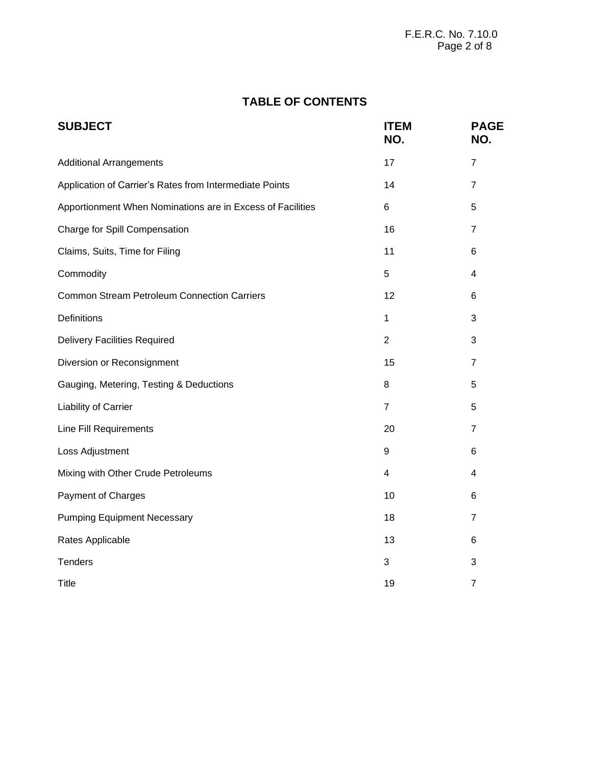# **TABLE OF CONTENTS**

| <b>SUBJECT</b>                                             | <b>ITEM</b><br>NO. | <b>PAGE</b><br>NO. |
|------------------------------------------------------------|--------------------|--------------------|
| <b>Additional Arrangements</b>                             | 17                 | $\overline{7}$     |
| Application of Carrier's Rates from Intermediate Points    | 14                 | $\overline{7}$     |
| Apportionment When Nominations are in Excess of Facilities | 6                  | 5                  |
| Charge for Spill Compensation                              | 16                 | $\overline{7}$     |
| Claims, Suits, Time for Filing                             | 11                 | 6                  |
| Commodity                                                  | 5                  | 4                  |
| <b>Common Stream Petroleum Connection Carriers</b>         | 12                 | 6                  |
| Definitions                                                | 1                  | 3                  |
| <b>Delivery Facilities Required</b>                        | $\overline{2}$     | 3                  |
| Diversion or Reconsignment                                 | 15                 | $\overline{7}$     |
| Gauging, Metering, Testing & Deductions                    | 8                  | 5                  |
| Liability of Carrier                                       | $\overline{7}$     | 5                  |
| <b>Line Fill Requirements</b>                              | 20                 | $\overline{7}$     |
| Loss Adjustment                                            | 9                  | 6                  |
| Mixing with Other Crude Petroleums                         | 4                  | 4                  |
| Payment of Charges                                         | 10                 | 6                  |
| <b>Pumping Equipment Necessary</b>                         | 18                 | $\overline{7}$     |
| Rates Applicable                                           | 13                 | 6                  |
| <b>Tenders</b>                                             | 3                  | 3                  |
| <b>Title</b>                                               | 19                 | 7                  |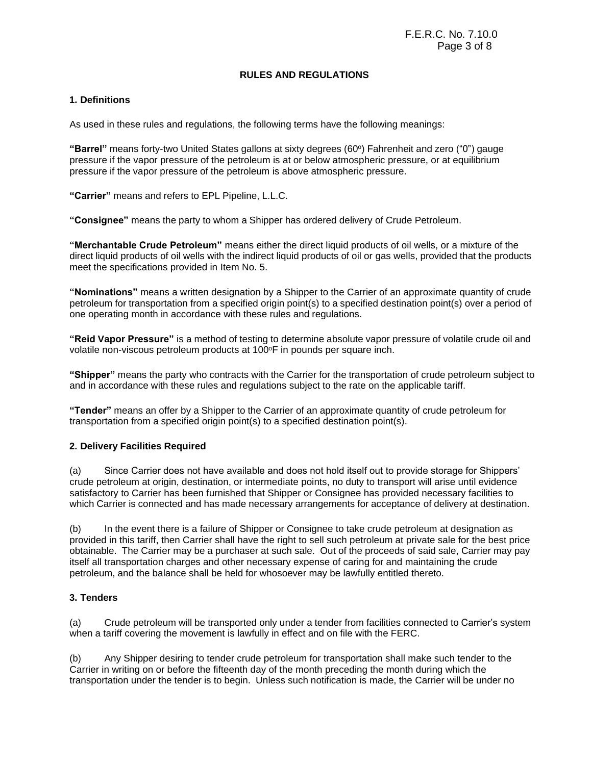## **RULES AND REGULATIONS**

#### **1. Definitions**

As used in these rules and regulations, the following terms have the following meanings:

"Barrel" means forty-two United States gallons at sixty degrees (60°) Fahrenheit and zero ("0") gauge pressure if the vapor pressure of the petroleum is at or below atmospheric pressure, or at equilibrium pressure if the vapor pressure of the petroleum is above atmospheric pressure.

**"Carrier"** means and refers to EPL Pipeline, L.L.C.

**"Consignee"** means the party to whom a Shipper has ordered delivery of Crude Petroleum.

**"Merchantable Crude Petroleum"** means either the direct liquid products of oil wells, or a mixture of the direct liquid products of oil wells with the indirect liquid products of oil or gas wells, provided that the products meet the specifications provided in Item No. 5.

**"Nominations"** means a written designation by a Shipper to the Carrier of an approximate quantity of crude petroleum for transportation from a specified origin point(s) to a specified destination point(s) over a period of one operating month in accordance with these rules and regulations.

**"Reid Vapor Pressure"** is a method of testing to determine absolute vapor pressure of volatile crude oil and volatile non-viscous petroleum products at 100°F in pounds per square inch.

**"Shipper"** means the party who contracts with the Carrier for the transportation of crude petroleum subject to and in accordance with these rules and regulations subject to the rate on the applicable tariff.

**"Tender"** means an offer by a Shipper to the Carrier of an approximate quantity of crude petroleum for transportation from a specified origin point(s) to a specified destination point(s).

#### **2. Delivery Facilities Required**

(a) Since Carrier does not have available and does not hold itself out to provide storage for Shippers' crude petroleum at origin, destination, or intermediate points, no duty to transport will arise until evidence satisfactory to Carrier has been furnished that Shipper or Consignee has provided necessary facilities to which Carrier is connected and has made necessary arrangements for acceptance of delivery at destination.

(b) In the event there is a failure of Shipper or Consignee to take crude petroleum at designation as provided in this tariff, then Carrier shall have the right to sell such petroleum at private sale for the best price obtainable. The Carrier may be a purchaser at such sale. Out of the proceeds of said sale, Carrier may pay itself all transportation charges and other necessary expense of caring for and maintaining the crude petroleum, and the balance shall be held for whosoever may be lawfully entitled thereto.

#### **3. Tenders**

(a) Crude petroleum will be transported only under a tender from facilities connected to Carrier's system when a tariff covering the movement is lawfully in effect and on file with the FERC.

(b) Any Shipper desiring to tender crude petroleum for transportation shall make such tender to the Carrier in writing on or before the fifteenth day of the month preceding the month during which the transportation under the tender is to begin. Unless such notification is made, the Carrier will be under no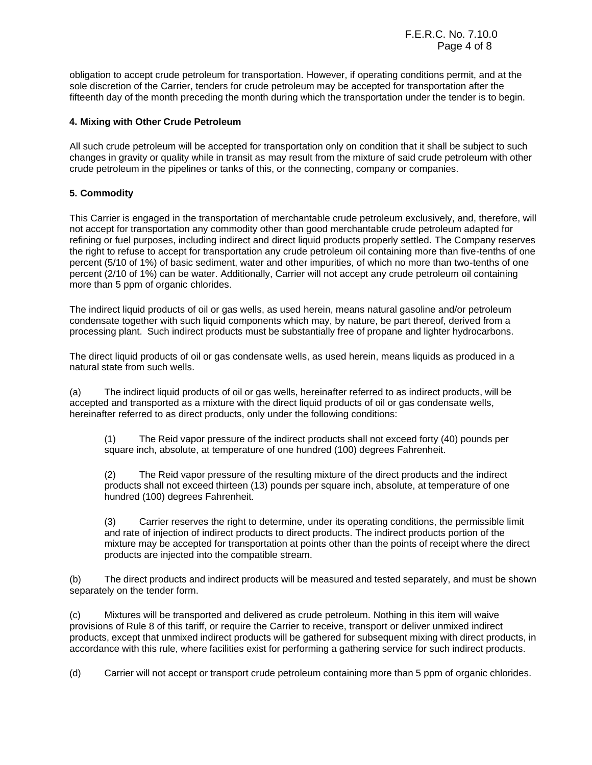obligation to accept crude petroleum for transportation. However, if operating conditions permit, and at the sole discretion of the Carrier, tenders for crude petroleum may be accepted for transportation after the fifteenth day of the month preceding the month during which the transportation under the tender is to begin.

### **4. Mixing with Other Crude Petroleum**

All such crude petroleum will be accepted for transportation only on condition that it shall be subject to such changes in gravity or quality while in transit as may result from the mixture of said crude petroleum with other crude petroleum in the pipelines or tanks of this, or the connecting, company or companies.

#### **5. Commodity**

This Carrier is engaged in the transportation of merchantable crude petroleum exclusively, and, therefore, will not accept for transportation any commodity other than good merchantable crude petroleum adapted for refining or fuel purposes, including indirect and direct liquid products properly settled. The Company reserves the right to refuse to accept for transportation any crude petroleum oil containing more than five-tenths of one percent (5/10 of 1%) of basic sediment, water and other impurities, of which no more than two-tenths of one percent (2/10 of 1%) can be water. Additionally, Carrier will not accept any crude petroleum oil containing more than 5 ppm of organic chlorides.

The indirect liquid products of oil or gas wells, as used herein, means natural gasoline and/or petroleum condensate together with such liquid components which may, by nature, be part thereof, derived from a processing plant. Such indirect products must be substantially free of propane and lighter hydrocarbons.

The direct liquid products of oil or gas condensate wells, as used herein, means liquids as produced in a natural state from such wells.

(a) The indirect liquid products of oil or gas wells, hereinafter referred to as indirect products, will be accepted and transported as a mixture with the direct liquid products of oil or gas condensate wells, hereinafter referred to as direct products, only under the following conditions:

(1) The Reid vapor pressure of the indirect products shall not exceed forty (40) pounds per square inch, absolute, at temperature of one hundred (100) degrees Fahrenheit.

(2) The Reid vapor pressure of the resulting mixture of the direct products and the indirect products shall not exceed thirteen (13) pounds per square inch, absolute, at temperature of one hundred (100) degrees Fahrenheit.

(3) Carrier reserves the right to determine, under its operating conditions, the permissible limit and rate of injection of indirect products to direct products. The indirect products portion of the mixture may be accepted for transportation at points other than the points of receipt where the direct products are injected into the compatible stream.

(b) The direct products and indirect products will be measured and tested separately, and must be shown separately on the tender form.

(c) Mixtures will be transported and delivered as crude petroleum. Nothing in this item will waive provisions of Rule 8 of this tariff, or require the Carrier to receive, transport or deliver unmixed indirect products, except that unmixed indirect products will be gathered for subsequent mixing with direct products, in accordance with this rule, where facilities exist for performing a gathering service for such indirect products.

(d) Carrier will not accept or transport crude petroleum containing more than 5 ppm of organic chlorides.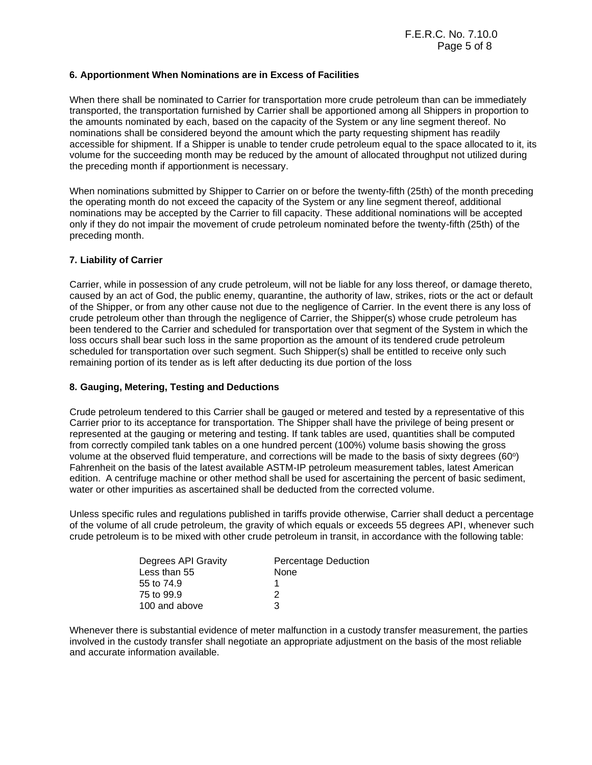#### **6. Apportionment When Nominations are in Excess of Facilities**

When there shall be nominated to Carrier for transportation more crude petroleum than can be immediately transported, the transportation furnished by Carrier shall be apportioned among all Shippers in proportion to the amounts nominated by each, based on the capacity of the System or any line segment thereof. No nominations shall be considered beyond the amount which the party requesting shipment has readily accessible for shipment. If a Shipper is unable to tender crude petroleum equal to the space allocated to it, its volume for the succeeding month may be reduced by the amount of allocated throughput not utilized during the preceding month if apportionment is necessary.

When nominations submitted by Shipper to Carrier on or before the twenty-fifth (25th) of the month preceding the operating month do not exceed the capacity of the System or any line segment thereof, additional nominations may be accepted by the Carrier to fill capacity. These additional nominations will be accepted only if they do not impair the movement of crude petroleum nominated before the twenty-fifth (25th) of the preceding month.

#### **7. Liability of Carrier**

Carrier, while in possession of any crude petroleum, will not be liable for any loss thereof, or damage thereto, caused by an act of God, the public enemy, quarantine, the authority of law, strikes, riots or the act or default of the Shipper, or from any other cause not due to the negligence of Carrier. In the event there is any loss of crude petroleum other than through the negligence of Carrier, the Shipper(s) whose crude petroleum has been tendered to the Carrier and scheduled for transportation over that segment of the System in which the loss occurs shall bear such loss in the same proportion as the amount of its tendered crude petroleum scheduled for transportation over such segment. Such Shipper(s) shall be entitled to receive only such remaining portion of its tender as is left after deducting its due portion of the loss

#### **8. Gauging, Metering, Testing and Deductions**

Crude petroleum tendered to this Carrier shall be gauged or metered and tested by a representative of this Carrier prior to its acceptance for transportation. The Shipper shall have the privilege of being present or represented at the gauging or metering and testing. If tank tables are used, quantities shall be computed from correctly compiled tank tables on a one hundred percent (100%) volume basis showing the gross volume at the observed fluid temperature, and corrections will be made to the basis of sixty degrees (60 $\circ$ ) Fahrenheit on the basis of the latest available ASTM-IP petroleum measurement tables, latest American edition. A centrifuge machine or other method shall be used for ascertaining the percent of basic sediment, water or other impurities as ascertained shall be deducted from the corrected volume.

Unless specific rules and regulations published in tariffs provide otherwise, Carrier shall deduct a percentage of the volume of all crude petroleum, the gravity of which equals or exceeds 55 degrees API, whenever such crude petroleum is to be mixed with other crude petroleum in transit, in accordance with the following table:

| Degrees API Gravity | <b>Percentage Deduction</b> |
|---------------------|-----------------------------|
| Less than 55        | None                        |
| 55 to 74.9          |                             |
| 75 to 99.9          | 2                           |
| 100 and above       | 3                           |

Whenever there is substantial evidence of meter malfunction in a custody transfer measurement, the parties involved in the custody transfer shall negotiate an appropriate adjustment on the basis of the most reliable and accurate information available.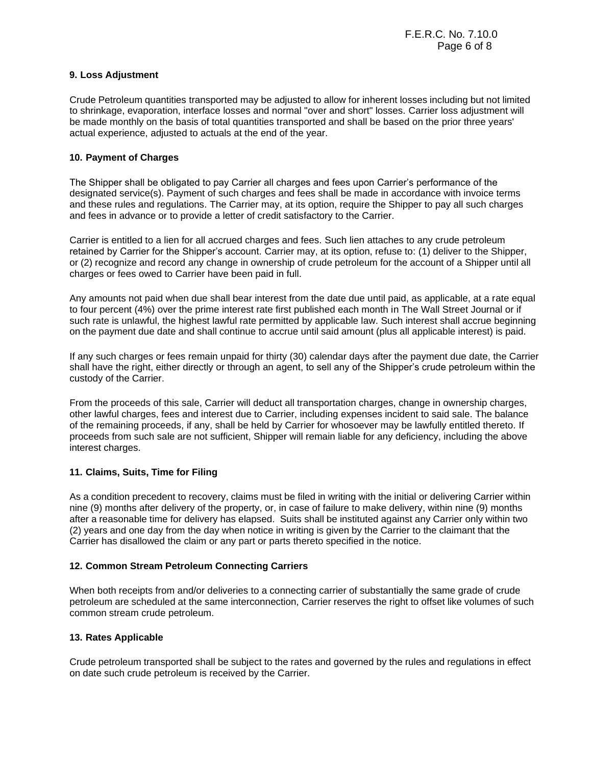#### **9. Loss Adjustment**

Crude Petroleum quantities transported may be adjusted to allow for inherent losses including but not limited to shrinkage, evaporation, interface losses and normal "over and short" losses. Carrier loss adjustment will be made monthly on the basis of total quantities transported and shall be based on the prior three years' actual experience, adjusted to actuals at the end of the year.

#### **10. Payment of Charges**

The Shipper shall be obligated to pay Carrier all charges and fees upon Carrier's performance of the designated service(s). Payment of such charges and fees shall be made in accordance with invoice terms and these rules and regulations. The Carrier may, at its option, require the Shipper to pay all such charges and fees in advance or to provide a letter of credit satisfactory to the Carrier.

Carrier is entitled to a lien for all accrued charges and fees. Such lien attaches to any crude petroleum retained by Carrier for the Shipper's account. Carrier may, at its option, refuse to: (1) deliver to the Shipper, or (2) recognize and record any change in ownership of crude petroleum for the account of a Shipper until all charges or fees owed to Carrier have been paid in full.

Any amounts not paid when due shall bear interest from the date due until paid, as applicable, at a rate equal to four percent (4%) over the prime interest rate first published each month in The Wall Street Journal or if such rate is unlawful, the highest lawful rate permitted by applicable law. Such interest shall accrue beginning on the payment due date and shall continue to accrue until said amount (plus all applicable interest) is paid.

If any such charges or fees remain unpaid for thirty (30) calendar days after the payment due date, the Carrier shall have the right, either directly or through an agent, to sell any of the Shipper's crude petroleum within the custody of the Carrier.

From the proceeds of this sale, Carrier will deduct all transportation charges, change in ownership charges, other lawful charges, fees and interest due to Carrier, including expenses incident to said sale. The balance of the remaining proceeds, if any, shall be held by Carrier for whosoever may be lawfully entitled thereto. If proceeds from such sale are not sufficient, Shipper will remain liable for any deficiency, including the above interest charges.

## **11. Claims, Suits, Time for Filing**

As a condition precedent to recovery, claims must be filed in writing with the initial or delivering Carrier within nine (9) months after delivery of the property, or, in case of failure to make delivery, within nine (9) months after a reasonable time for delivery has elapsed. Suits shall be instituted against any Carrier only within two (2) years and one day from the day when notice in writing is given by the Carrier to the claimant that the Carrier has disallowed the claim or any part or parts thereto specified in the notice.

## **12. Common Stream Petroleum Connecting Carriers**

When both receipts from and/or deliveries to a connecting carrier of substantially the same grade of crude petroleum are scheduled at the same interconnection, Carrier reserves the right to offset like volumes of such common stream crude petroleum.

#### **13. Rates Applicable**

Crude petroleum transported shall be subject to the rates and governed by the rules and regulations in effect on date such crude petroleum is received by the Carrier.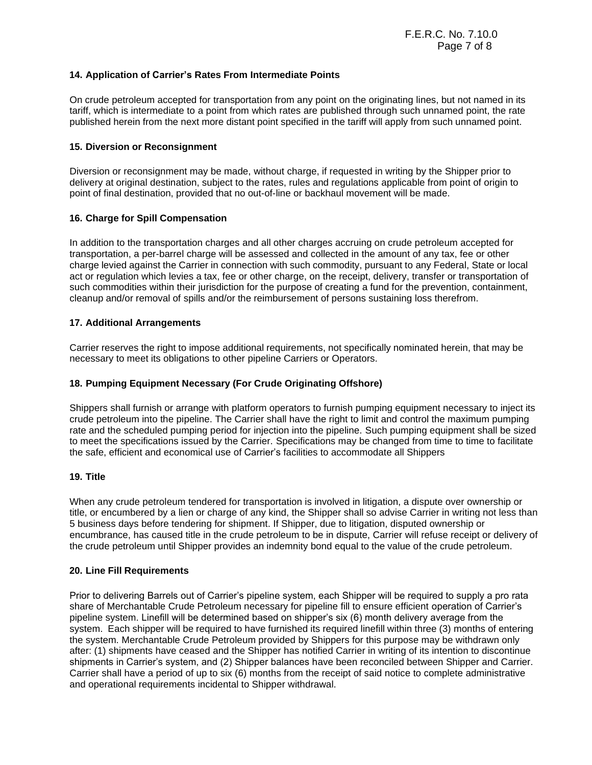#### **14. Application of Carrier's Rates From Intermediate Points**

On crude petroleum accepted for transportation from any point on the originating lines, but not named in its tariff, which is intermediate to a point from which rates are published through such unnamed point, the rate published herein from the next more distant point specified in the tariff will apply from such unnamed point.

#### **15. Diversion or Reconsignment**

Diversion or reconsignment may be made, without charge, if requested in writing by the Shipper prior to delivery at original destination, subject to the rates, rules and regulations applicable from point of origin to point of final destination, provided that no out-of-line or backhaul movement will be made.

#### **16. Charge for Spill Compensation**

In addition to the transportation charges and all other charges accruing on crude petroleum accepted for transportation, a per-barrel charge will be assessed and collected in the amount of any tax, fee or other charge levied against the Carrier in connection with such commodity, pursuant to any Federal, State or local act or regulation which levies a tax, fee or other charge, on the receipt, delivery, transfer or transportation of such commodities within their jurisdiction for the purpose of creating a fund for the prevention, containment, cleanup and/or removal of spills and/or the reimbursement of persons sustaining loss therefrom.

#### **17. Additional Arrangements**

Carrier reserves the right to impose additional requirements, not specifically nominated herein, that may be necessary to meet its obligations to other pipeline Carriers or Operators.

#### **18. Pumping Equipment Necessary (For Crude Originating Offshore)**

Shippers shall furnish or arrange with platform operators to furnish pumping equipment necessary to inject its crude petroleum into the pipeline. The Carrier shall have the right to limit and control the maximum pumping rate and the scheduled pumping period for injection into the pipeline. Such pumping equipment shall be sized to meet the specifications issued by the Carrier. Specifications may be changed from time to time to facilitate the safe, efficient and economical use of Carrier's facilities to accommodate all Shippers

#### **19. Title**

When any crude petroleum tendered for transportation is involved in litigation, a dispute over ownership or title, or encumbered by a lien or charge of any kind, the Shipper shall so advise Carrier in writing not less than 5 business days before tendering for shipment. If Shipper, due to litigation, disputed ownership or encumbrance, has caused title in the crude petroleum to be in dispute, Carrier will refuse receipt or delivery of the crude petroleum until Shipper provides an indemnity bond equal to the value of the crude petroleum.

#### **20. Line Fill Requirements**

Prior to delivering Barrels out of Carrier's pipeline system, each Shipper will be required to supply a pro rata share of Merchantable Crude Petroleum necessary for pipeline fill to ensure efficient operation of Carrier's pipeline system. Linefill will be determined based on shipper's six (6) month delivery average from the system. Each shipper will be required to have furnished its required linefill within three (3) months of entering the system. Merchantable Crude Petroleum provided by Shippers for this purpose may be withdrawn only after: (1) shipments have ceased and the Shipper has notified Carrier in writing of its intention to discontinue shipments in Carrier's system, and (2) Shipper balances have been reconciled between Shipper and Carrier. Carrier shall have a period of up to six (6) months from the receipt of said notice to complete administrative and operational requirements incidental to Shipper withdrawal.